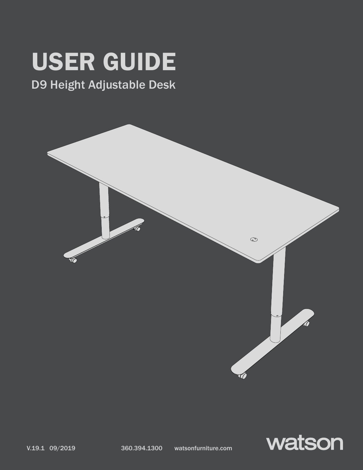# USER GUIDE

# D9 Height Adjustable Desk



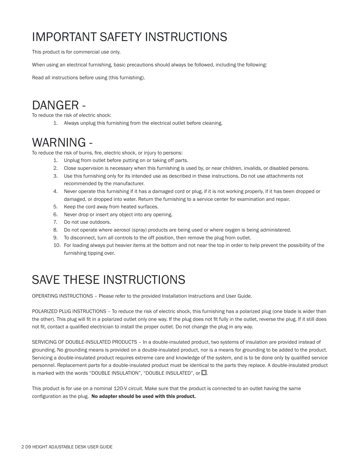# IMPORTANT SAFETY INSTRUCTIONS

This product is for commercial use only.

When using an electrical furnishing, basic precautions should always be followed, including the following:

Read all instructions before using (this furnishing).

### DANGER -

To reduce the risk of electric shock:

1. Always unplug this furnishing from the electrical outlet before cleaning.

### WARNING -

To reduce the risk of burns, fire, electric shock, or injury to persons:

- 1. Unplug from outlet before putting on or taking off parts.
- 2. Close supervision is necessary when this furnishing is used by, or near children, invalids, or disabled persons.
- 3. Use this furnishing only for its intended use as described in these instructions. Do not use attachments not recommended by the manufacturer.
- 4. Never operate this furnishing if it has a damaged cord or plug, if it is not working properly, if it has been dropped or damaged, or dropped into water. Return the furnishing to a service center for examination and repair.
- 5. Keep the cord away from heated surfaces.
- 6. Never drop or insert any object into any opening.
- 7. Do not use outdoors.
- 8. Do not operate where aerosol (spray) products are being used or where oxygen is being administered.
- 9. To disconnect, turn all controls to the off position, then remove the plug from outlet.
- 10. For loading always put heavier items at the bottom and not near the top in order to help prevent the possibility of the furnishing tipping over.

# SAVE THESE INSTRUCTIONS

OPERATING INSTRUCTIONS – Please refer to the provided Installation Instructions and User Guide.

POLARIZED PLUG INSTRUCTIONS – To reduce the risk of electric shock, this furnishing has a polarized plug (one blade is wider than the other). This plug will fit in a polarized outlet only one way. If the plug does not fit fully in the outlet, reverse the plug. If it still does not fit, contact a qualified electrician to install the proper outlet. Do not change the plug in any way.

SERVICING OF DOUBLE-INSULATED PRODUCTS – In a double-insulated product, two systems of insulation are provided instead of grounding. No grounding means is provided on a double-insulated product, nor is a means for grounding to be added to the product. Servicing a double-insulated product requires extreme care and knowledge of the system, and is to be done only by qualified service personnel. Replacement parts for a double-insulated product must be identical to the parts they replace. A double-insulated product is marked with the words "DOUBLE INSULATION", "DOUBLE INSULATED", or  $\square$ .

This product is for use on a nominal 120-V circuit. Make sure that the product is connected to an outlet having the same configuration as the plug. No adapter should be used with this product.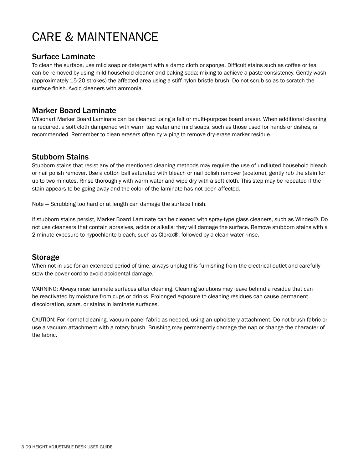# CARE & MAINTENANCE

### Surface Laminate

To clean the surface, use mild soap or detergent with a damp cloth or sponge. Difficult stains such as coffee or tea can be removed by using mild household cleaner and baking soda; mixing to achieve a paste consistency. Gently wash (approximately 15-20 strokes) the affected area using a stiff nylon bristle brush. Do not scrub so as to scratch the surface finish. Avoid cleaners with ammonia.

### Marker Board Laminate

Wilsonart Marker Board Laminate can be cleaned using a felt or multi-purpose board eraser. When additional cleaning is required, a soft cloth dampened with warm tap water and mild soaps, such as those used for hands or dishes, is recommended. Remember to clean erasers often by wiping to remove dry-erase marker residue.

### Stubborn Stains

Stubborn stains that resist any of the mentioned cleaning methods may require the use of undiluted household bleach or nail polish remover. Use a cotton ball saturated with bleach or nail polish remover (acetone), gently rub the stain for up to two minutes. Rinse thoroughly with warm water and wipe dry with a soft cloth. This step may be repeated if the stain appears to be going away and the color of the laminate has not been affected.

Note — Scrubbing too hard or at length can damage the surface finish.

If stubborn stains persist, Marker Board Laminate can be cleaned with spray-type glass cleaners, such as Windex®. Do not use cleansers that contain abrasives, acids or alkalis; they will damage the surface. Remove stubborn stains with a 2-minute exposure to hypochlorite bleach, such as Clorox®, followed by a clean water rinse.

### Storage

When not in use for an extended period of time, always unplug this furnishing from the electrical outlet and carefully stow the power cord to avoid accidental damage.

WARNING: Always rinse laminate surfaces after cleaning. Cleaning solutions may leave behind a residue that can be reactivated by moisture from cups or drinks. Prolonged exposure to cleaning residues can cause permanent discoloration, scars, or stains in laminate surfaces.

CAUTION: For normal cleaning, vacuum panel fabric as needed, using an upholstery attachment. Do not brush fabric or use a vacuum attachment with a rotary brush. Brushing may permanently damage the nap or change the character of the fabric.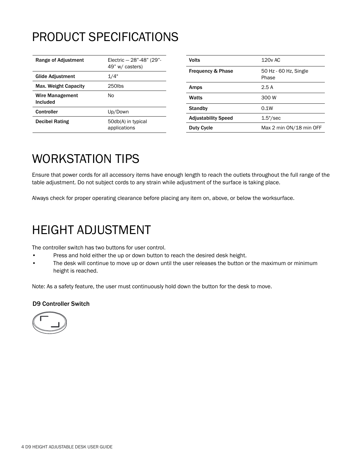# PRODUCT SPECIFICATIONS

| Range of Adjustment         | Electric - 28"-48" (29"-<br>49" w/ casters) |
|-----------------------------|---------------------------------------------|
| Glide Adjustment            | 1/4"                                        |
| Max. Weight Capacity        | 250lbs                                      |
| Wire Management<br>Included | N٥                                          |
| Controller                  | Up/Down                                     |
| <b>Decibel Rating</b>       | 50db(A) in typical<br>applications          |

| Volts                        | 120y AC                        |
|------------------------------|--------------------------------|
| <b>Frequency &amp; Phase</b> | 50 Hz - 60 Hz, Single<br>Phase |
| Amps                         | 2.5A                           |
| Watts                        | 300 W                          |
| <b>Standby</b>               | 0.1W                           |
| <b>Adjustability Speed</b>   | $1.5$ "/sec                    |
| <b>Duty Cycle</b>            | Max 2 min ON/18 min OFF        |
|                              |                                |

## WORKSTATION TIPS

Ensure that power cords for all accessory items have enough length to reach the outlets throughout the full range of the table adjustment. Do not subject cords to any strain while adjustment of the surface is taking place.

Always check for proper operating clearance before placing any item on, above, or below the worksurface.

### HEIGHT ADJUSTMENT

The controller switch has two buttons for user control.

- Press and hold either the up or down button to reach the desired desk height.
- The desk will continue to move up or down until the user releases the button or the maximum or minimum height is reached.

Note: As a safety feature, the user must continuously hold down the button for the desk to move.

### D9 Controller Switch